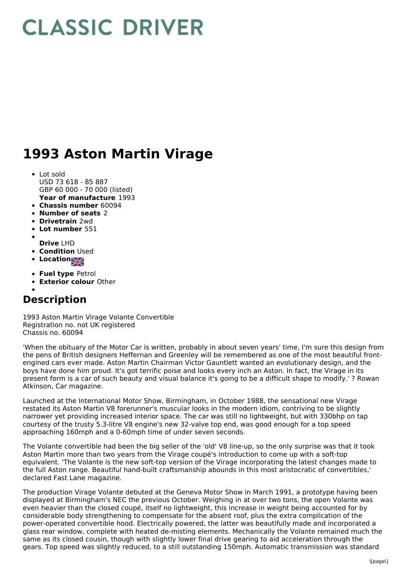## **CLASSIC DRIVER**

## **1993 Aston Martin Virage**

- **Year of manufacture** 1993 Lot sold USD 73 618 - 85 887 GBP 60 000 - 70 000 (listed)
- **Chassis number** 60094
- **Number of seats** 2
- **Drivetrain** 2wd
- **Lot number** 551
- **Drive** LHD
- **Condition Used**
- **Location**
- 
- **Fuel type** Petrol
- **Exterior colour** Other

## **Description**

1993 Aston Martin Virage Volante Convertible Registration no. not UK registered Chassis no. 60094

'When the obituary of the Motor Car is written, probably in about seven years' time, I'm sure this design from the pens of British designers Heffernan and Greenley will be remembered as one of the most beautiful frontengined cars ever made. Aston Martin Chairman Victor Gauntlett wanted an evolutionary design, and the boys have done him proud. It's got terrific poise and looks every inch an Aston. In fact, the Virage in its present form is a car of such beauty and visual balance it's going to be a difficult shape to modify.' ? Rowan Atkinson, Car magazine.

Launched at the International Motor Show, Birmingham, in October 1988, the sensational new Virage restated its Aston Martin V8 forerunner's muscular looks in the modern idiom, contriving to be slightly narrower yet providing increased interior space. The car was still no lightweight, but with 330bhp on tap courtesy of the trusty 5.3-litre V8 engine's new 32-valve top end, was good enough for a top speed approaching 160mph and a 0-60mph time of under seven seconds.

The Volante convertible had been the big seller of the 'old' V8 line-up, so the only surprise was that it took Aston Martin more than two years from the Virage coupé's introduction to come up with a soft-top equivalent. 'The Volante is the new soft-top version of the Virage incorporating the latest changes made to the full Aston range. Beautiful hand-built craftsmanship abounds in this most aristocratic of convertibles,' declared Fast Lane magazine.

The production Virage Volante debuted at the Geneva Motor Show in March 1991, a prototype having been displayed at Birmingham's NEC the previous October. Weighing in at over two tons, the open Volante was even heavier than the closed coupé, itself no lightweight, this increase in weight being accounted for by considerable body strengthening to compensate for the absent roof, plus the extra complication of the power-operated convertible hood. Electrically powered, the latter was beautifully made and incorporated a glass rear window, complete with heated de-misting elements. Mechanically the Volante remained much the same as its closed cousin, though with slightly lower final drive gearing to aid acceleration through the gears. Top speed was slightly reduced, to a still outstanding 150mph. Automatic transmission was standard